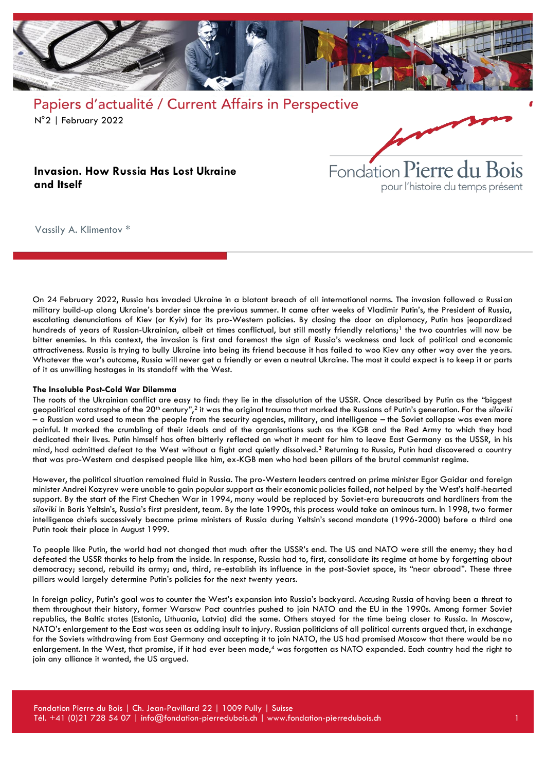



### **Invasion. How Russia Has Lost Ukraine and Itself**

Vassily A. Klimentov \*

On 24 February 2022, Russia has invaded Ukraine in a blatant breach of all international norms. The invasion followed a Russian military build-up along Ukraine's border since the previous summer. It came after weeks of Vladimir Putin's, the President of Russia, escalating denunciations of Kiev (or Kyiv) for its pro-Western policies. By closing the door on diplomacy, Putin has jeopardized hundreds of years of Russian-Ukrainian, albeit at times conflictual, but still mostly friendly relations;<sup>1</sup> the two countries will now be bitter enemies. In this context, the invasion is first and foremost the sign of Russia's weakness and lack of political and economic attractiveness. Russia is trying to bully Ukraine into being its friend because it has failed to woo Kiev any other way over the years. Whatever the war's outcome, Russia will never get a friendly or even a neutral Ukraine. The most it could expect is to keep it or parts of it as unwilling hostages in its standoff with the West.

#### **The Insoluble Post-Cold War Dilemma**

The roots of the Ukrainian conflict are easy to find: they lie in the dissolution of the USSR. Once described by Putin as the "biggest geopolitical catastrophe of the 20th century",<sup>2</sup> it was the original trauma that marked the Russians of Putin's generation. For the *siloviki* – a Russian word used to mean the people from the security agencies, military, and intelligence – the Soviet collapse was even more painful. It marked the crumbling of their ideals and of the organisations such as the KGB and the Red Army to which they had dedicated their lives. Putin himself has often bitterly reflected on what it meant for him to leave East Germany as the USSR, in his mind, had admitted defeat to the West without a fight and quietly dissolved.<sup>3</sup> Returning to Russia, Putin had discovered a country that was pro-Western and despised people like him, ex-KGB men who had been pillars of the brutal communist regime.

However, the political situation remained fluid in Russia. The pro-Western leaders centred on prime minister Egor Gaidar and foreign minister Andrei Kozyrev were unable to gain popular support as their economic policies failed, not helped by the West's half-hearted support. By the start of the First Chechen War in 1994, many would be replaced by Soviet-era bureaucrats and hardliners from the *siloviki* in Boris Yeltsin's, Russia's first president, team. By the late 1990s, this process would take an ominous turn. In 1998, two former intelligence chiefs successively became prime ministers of Russia during Yeltsin's second mandate (1996-2000) before a third one Putin took their place in August 1999.

To people like Putin, the world had not changed that much after the USSR's end. The US and NATO were still the enemy; they had defeated the USSR thanks to help from the inside. In response, Russia had to, first, consolidate its regime at home by forgetting about democracy; second, rebuild its army; and, third, re-establish its influence in the post-Soviet space, its "near abroad". These three pillars would largely determine Putin's policies for the next twenty years.

In foreign policy, Putin's goal was to counter the West's expansion into Russia's backyard. Accusing Russia of having been a threat to them throughout their history, former Warsaw Pact countries pushed to join NATO and the EU in the 1990s. Among former Soviet republics, the Baltic states (Estonia, Lithuania, Latvia) did the same. Others stayed for the time being closer to Russia. In Moscow, NATO's enlargement to the East was seen as adding insult to injury. Russian politicians of all political currents argued that, in exchange for the Soviets withdrawing from East Germany and accepting it to join NATO, the US had promised Moscow that there would be no enlargement. In the West, that promise, if it had ever been made,<sup>4</sup> was forgotten as NATO expanded. Each country had the right to join any alliance it wanted, the US argued.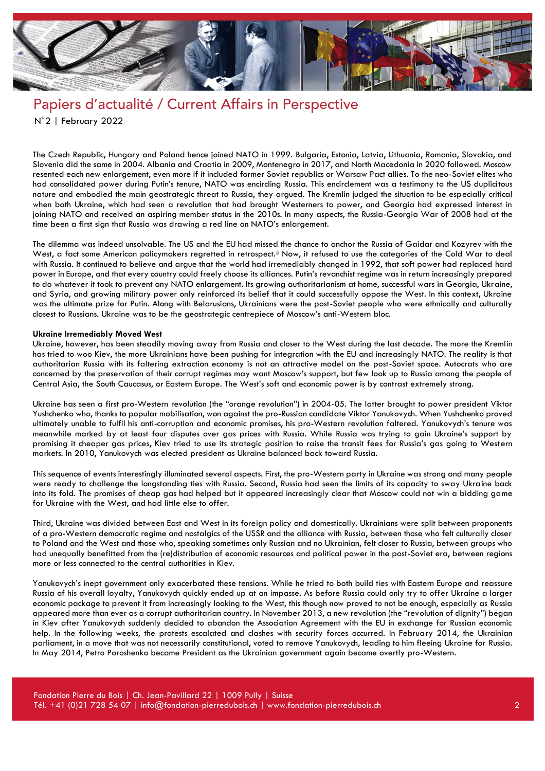

The Czech Republic, Hungary and Poland hence joined NATO in 1999. Bulgaria, Estonia, Latvia, Lithuania, Romania, Slovakia, and Slovenia did the same in 2004. Albania and Croatia in 2009, Montenegro in 2017, and North Macedonia in 2020 followed. Moscow resented each new enlargement, even more if it included former Soviet republics or Warsaw Pact allies. To the neo-Soviet elites who had consolidated power during Putin's tenure, NATO was encircling Russia. This encirclement was a testimony to the US duplicitous nature and embodied the main geostrategic threat to Russia, they argued. The Kremlin judged the situation to be especially critical when both Ukraine, which had seen a revolution that had brought Westerners to power, and Georgia had expressed interest in joining NATO and received an aspiring member status in the 2010s. In many aspects, the Russia-Georgia War of 2008 had at the time been a first sign that Russia was drawing a red line on NATO's enlargement.

The dilemma was indeed unsolvable. The US and the EU had missed the chance to anchor the Russia of Gaidar and Kozyrev with the West, a fact some American policymakers regretted in retrospect.<sup>5</sup> Now, it refused to use the categories of the Cold War to deal with Russia. It continued to believe and argue that the world had irremediably changed in 1992, that soft power had replaced hard power in Europe, and that every country could freely choose its alliances. Putin's revanchist regime was in return increasingly prepared to do whatever it took to prevent any NATO enlargement. Its growing authoritarianism at home, successful wars in Georgia, Ukraine, and Syria, and growing military power only reinforced its belief that it could successfully oppose the West. In this context, Ukraine was the ultimate prize for Putin. Along with Belarusians, Ukrainians were the post-Soviet people who were ethnically and culturally closest to Russians. Ukraine was to be the geostrategic centrepiece of Moscow's anti-Western bloc.

#### **Ukraine Irremediably Moved West**

Ukraine, however, has been steadily moving away from Russia and closer to the West during the last decade. The more the Kremlin has tried to woo Kiev, the more Ukrainians have been pushing for integration with the EU and increasingly NATO. The reality is that authoritarian Russia with its faltering extraction economy is not an attractive model on the post-Soviet space. Autocrats who are concerned by the preservation of their corrupt regimes may want Moscow's support, but few look up to Russia among the people of Central Asia, the South Caucasus, or Eastern Europe. The West's soft and economic power is by contrast extremely strong.

Ukraine has seen a first pro-Western revolution (the "orange revolution") in 2004-05. The latter brought to power president Viktor Yushchenko who, thanks to popular mobilisation, won against the pro-Russian candidate Viktor Yanukovych. When Yushchenko proved ultimately unable to fulfil his anti-corruption and economic promises, his pro-Western revolution faltered. Yanukovych's tenure was meanwhile marked by at least four disputes over gas prices with Russia. While Russia was trying to gain Ukraine's support by promising it cheaper gas prices, Kiev tried to use its strategic position to raise the transit fees for Russia's gas going to Western markets. In 2010, Yanukovych was elected president as Ukraine balanced back toward Russia.

This sequence of events interestingly illuminated several aspects. First, the pro-Western party in Ukraine was strong and many people were ready to challenge the longstanding ties with Russia. Second, Russia had seen the limits of its capacity to sway Ukraine back into its fold. The promises of cheap gas had helped but it appeared increasingly clear that Moscow could not win a bidding game for Ukraine with the West, and had little else to offer.

Third, Ukraine was divided between East and West in its foreign policy and domestically. Ukrainians were split between proponents of a pro-Western democratic regime and nostalgics of the USSR and the alliance with Russia, between those who felt culturally closer to Poland and the West and those who, speaking sometimes only Russian and no Ukrainian, felt closer to Russia, between groups who had unequally benefitted from the (re)distribution of economic resources and political power in the post-Soviet era, between regions more or less connected to the central authorities in Kiev.

Yanukovych's inept government only exacerbated these tensions. While he tried to both build ties with Eastern Europe and reassure Russia of his overall loyalty, Yanukovych quickly ended up at an impasse. As before Russia could only try to offer Ukraine a larger economic package to prevent it from increasingly looking to the West, this though now proved to not be enough, especially as Russia appeared more than ever as a corrupt authoritarian country. In November 2013, a new revolution (the "revolution of dignity") began in Kiev after Yanukovych suddenly decided to abandon the Association Agreement with the EU in exchange for Russian economic help. In the following weeks, the protests escalated and clashes with security forces occurred. In February 2014, the Ukrainian parliament, in a move that was not necessarily constitutional, voted to remove Yanukovych, leading to him fleeing Ukraine for Russia. In May 2014, Petro Poroshenko became President as the Ukrainian government again became overtly pro-Western.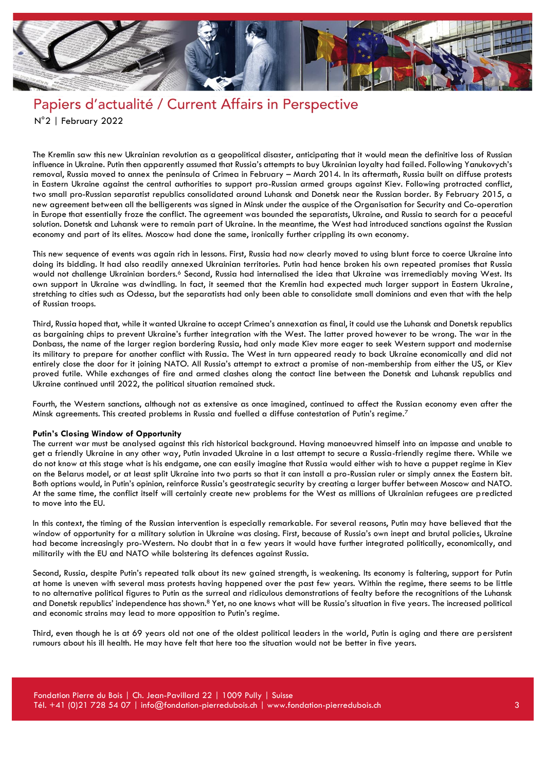

The Kremlin saw this new Ukrainian revolution as a geopolitical disaster, anticipating that it would mean the definitive loss of Russian influence in Ukraine. Putin then apparently assumed that Russia's attempts to buy Ukrainian loyalty had failed. Following Yanukovych's removal, Russia moved to annex the peninsula of Crimea in February – March 2014. In its aftermath, Russia built on diffuse protests in Eastern Ukraine against the central authorities to support pro-Russian armed groups against Kiev. Following protracted conflict, two small pro-Russian separatist republics consolidated around Luhansk and Donetsk near the Russian border. By February 2015, a new agreement between all the belligerents was signed in Minsk under the auspice of the Organisation for Security and Co-operation in Europe that essentially froze the conflict. The agreement was bounded the separatists, Ukraine, and Russia to search for a peaceful solution. Donetsk and Luhansk were to remain part of Ukraine. In the meantime, the West had introduced sanctions against the Russian economy and part of its elites. Moscow had done the same, ironically further crippling its own economy.

This new sequence of events was again rich in lessons. First, Russia had now clearly moved to using blunt force to coerce Ukraine into doing its bidding. It had also readily annexed Ukrainian territories. Putin had hence broken his own repeated promises that Russia would not challenge Ukrainian borders.<sup>6</sup> Second, Russia had internalised the idea that Ukraine was irremediably moving West. Its own support in Ukraine was dwindling. In fact, it seemed that the Kremlin had expected much larger support in Eastern Ukraine, stretching to cities such as Odessa, but the separatists had only been able to consolidate small dominions and even that with the help of Russian troops.

Third, Russia hoped that, while it wanted Ukraine to accept Crimea's annexation as final, it could use the Luhansk and Donetsk republics as bargaining chips to prevent Ukraine's further integration with the West. The latter proved however to be wrong. The war in the Donbass, the name of the larger region bordering Russia, had only made Kiev more eager to seek Western support and modernise its military to prepare for another conflict with Russia. The West in turn appeared ready to back Ukraine economically and did not entirely close the door for it joining NATO. All Russia's attempt to extract a promise of non-membership from either the US, or Kiev proved futile. While exchanges of fire and armed clashes along the contact line between the Donetsk and Luhansk republics and Ukraine continued until 2022, the political situation remained stuck.

Fourth, the Western sanctions, although not as extensive as once imagined, continued to affect the Russian economy even after the Minsk agreements. This created problems in Russia and fuelled a diffuse contestation of Putin's regime.<sup>7</sup>

#### **Putin's Closing Window of Opportunity**

The current war must be analysed against this rich historical background. Having manoeuvred himself into an impasse and unable to get a friendly Ukraine in any other way, Putin invaded Ukraine in a last attempt to secure a Russia-friendly regime there. While we do not know at this stage what is his endgame, one can easily imagine that Russia would either wish to have a puppet regime in Kiev on the Belarus model, or at least split Ukraine into two parts so that it can install a pro-Russian ruler or simply annex the Eastern bit. Both options would, in Putin's opinion, reinforce Russia's geostrategic security by creating a larger buffer between Moscow and NATO. At the same time, the conflict itself will certainly create new problems for the West as millions of Ukrainian refugees are predicted to move into the EU.

In this context, the timing of the Russian intervention is especially remarkable. For several reasons, Putin may have believed that the window of opportunity for a military solution in Ukraine was closing. First, because of Russia's own inept and brutal policies, Ukraine had become increasingly pro-Western. No doubt that in a few years it would have further integrated politically, economically, and militarily with the EU and NATO while bolstering its defences against Russia.

Second, Russia, despite Putin's repeated talk about its new gained strength, is weakening. Its economy is faltering, support for Putin at home is uneven with several mass protests having happened over the past few years. Within the regime, there seems to be little to no alternative political figures to Putin as the surreal and ridiculous demonstrations of fealty before the recognitions of the Luhansk and Donetsk republics' independence has shown.<sup>8</sup> Yet, no one knows what will be Russia's situation in five years. The increased political and economic strains may lead to more opposition to Putin's regime.

Third, even though he is at 69 years old not one of the oldest political leaders in the world, Putin is aging and there are persistent rumours about his ill health. He may have felt that here too the situation would not be better in five years.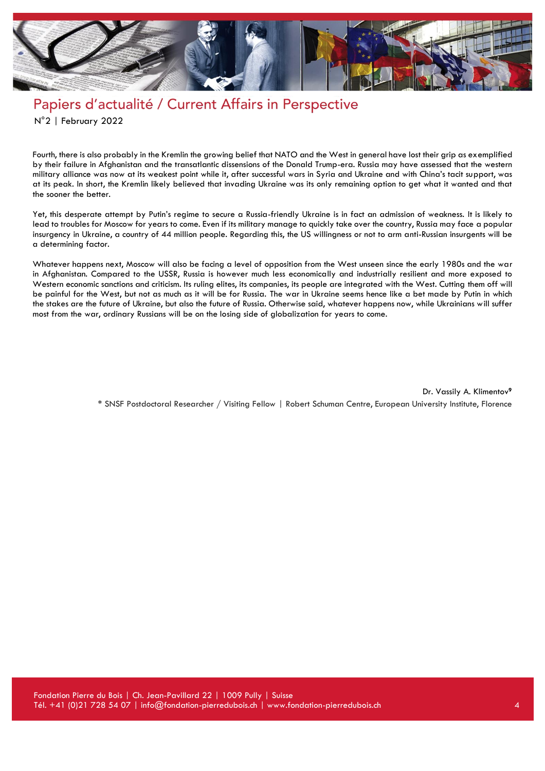

Fourth, there is also probably in the Kremlin the growing belief that NATO and the West in general have lost their grip as exemplified by their failure in Afghanistan and the transatlantic dissensions of the Donald Trump-era. Russia may have assessed that the western military alliance was now at its weakest point while it, after successful wars in Syria and Ukraine and with China's tacit support, was at its peak. In short, the Kremlin likely believed that invading Ukraine was its only remaining option to get what it wanted and that the sooner the better.

Yet, this desperate attempt by Putin's regime to secure a Russia-friendly Ukraine is in fact an admission of weakness. It is likely to lead to troubles for Moscow for years to come. Even if its military manage to quickly take over the country, Russia may face a popular insurgency in Ukraine, a country of 44 million people. Regarding this, the US willingness or not to arm anti-Russian insurgents will be a determining factor.

Whatever happens next, Moscow will also be facing a level of opposition from the West unseen since the early 1980s and the war in Afghanistan. Compared to the USSR, Russia is however much less economically and industrially resilient and more exposed to Western economic sanctions and criticism. Its ruling elites, its companies, its people are integrated with the West. Cutting them off will be painful for the West, but not as much as it will be for Russia. The war in Ukraine seems hence like a bet made by Putin in which the stakes are the future of Ukraine, but also the future of Russia. Otherwise said, whatever happens now, while Ukrainians will suffer most from the war, ordinary Russians will be on the losing side of globalization for years to come.

> Dr. Vassily A. Klimentov**<sup>9</sup>** \* SNSF Postdoctoral Researcher / Visiting Fellow | Robert Schuman Centre, European University Institute, Florence